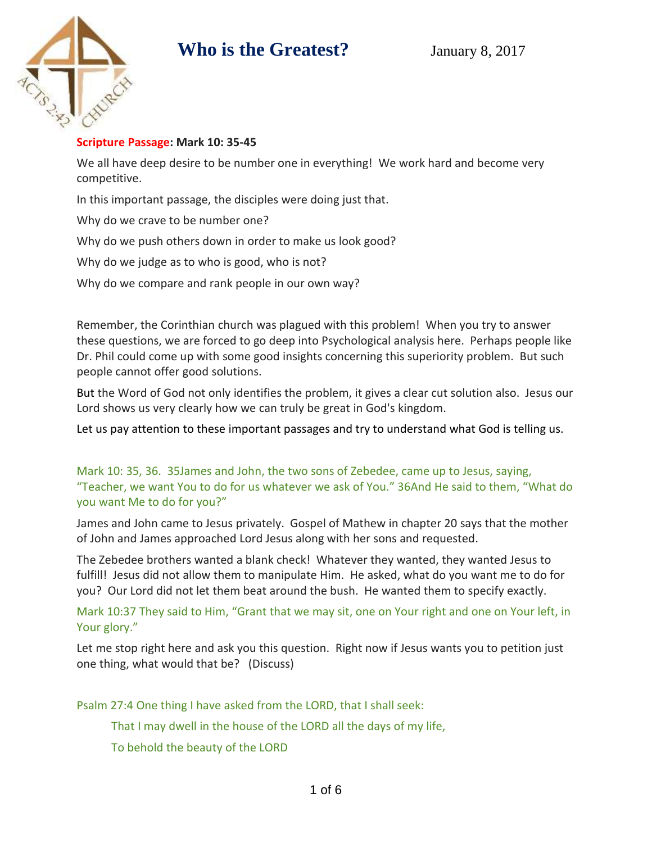

#### **Scripture Passage: Mark 10: 35-45**

We all have deep desire to be number one in everything! We work hard and become very competitive.

In this important passage, the disciples were doing just that.

Why do we crave to be number one?

Why do we push others down in order to make us look good?

Why do we judge as to who is good, who is not?

Why do we compare and rank people in our own way?

Remember, the Corinthian church was plagued with this problem! When you try to answer these questions, we are forced to go deep into Psychological analysis here. Perhaps people like Dr. Phil could come up with some good insights concerning this superiority problem. But such people cannot offer good solutions.

But the Word of God not only identifies the problem, it gives a clear cut solution also. Jesus our Lord shows us very clearly how we can truly be great in God's kingdom.

Let us pay attention to these important passages and try to understand what God is telling us.

Mark 10: 35, 36. 35James and John, the two sons of Zebedee, came up to Jesus, saying, "Teacher, we want You to do for us whatever we ask of You." 36And He said to them, "What do you want Me to do for you?"

James and John came to Jesus privately. Gospel of Mathew in chapter 20 says that the mother of John and James approached Lord Jesus along with her sons and requested.

The Zebedee brothers wanted a blank check! Whatever they wanted, they wanted Jesus to fulfill! Jesus did not allow them to manipulate Him. He asked, what do you want me to do for you? Our Lord did not let them beat around the bush. He wanted them to specify exactly.

Mark 10:37 They said to Him, "Grant that we may sit, one on Your right and one on Your left, in Your glory."

Let me stop right here and ask you this question. Right now if Jesus wants you to petition just one thing, what would that be? (Discuss)

Psalm 27:4 One thing I have asked from the LORD, that I shall seek:

That I may dwell in the house of the LORD all the days of my life,

To behold the beauty of the LORD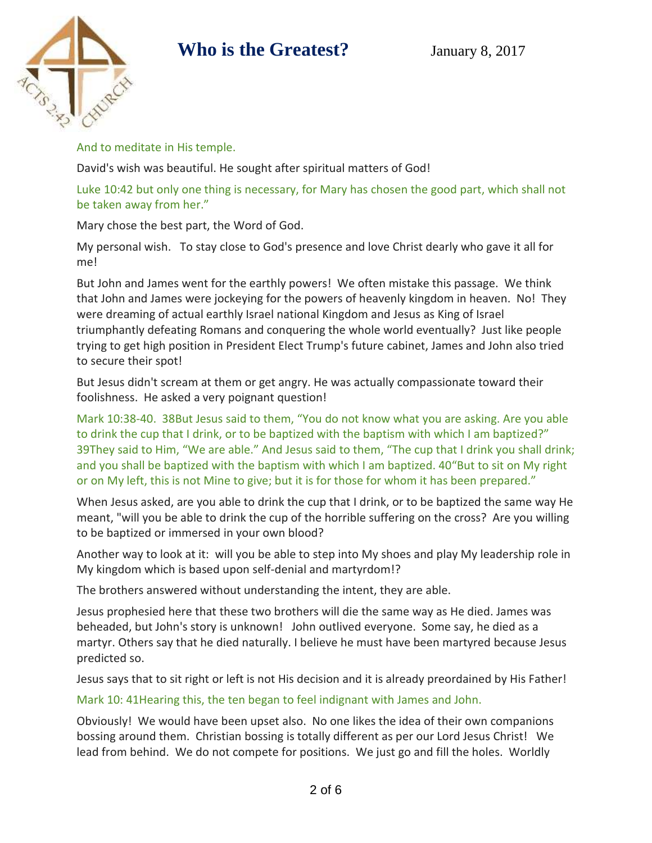

And to meditate in His temple.

David's wish was beautiful. He sought after spiritual matters of God!

Luke 10:42 but only one thing is necessary, for Mary has chosen the good part, which shall not be taken away from her."

Mary chose the best part, the Word of God.

My personal wish. To stay close to God's presence and love Christ dearly who gave it all for me!

But John and James went for the earthly powers! We often mistake this passage. We think that John and James were jockeying for the powers of heavenly kingdom in heaven. No! They were dreaming of actual earthly Israel national Kingdom and Jesus as King of Israel triumphantly defeating Romans and conquering the whole world eventually? Just like people trying to get high position in President Elect Trump's future cabinet, James and John also tried to secure their spot!

But Jesus didn't scream at them or get angry. He was actually compassionate toward their foolishness. He asked a very poignant question!

Mark 10:38-40. 38But Jesus said to them, "You do not know what you are asking. Are you able to drink the cup that I drink, or to be baptized with the baptism with which I am baptized?" 39They said to Him, "We are able." And Jesus said to them, "The cup that I drink you shall drink; and you shall be baptized with the baptism with which I am baptized. 40"But to sit on My right or on My left, this is not Mine to give; but it is for those for whom it has been prepared."

When Jesus asked, are you able to drink the cup that I drink, or to be baptized the same way He meant, "will you be able to drink the cup of the horrible suffering on the cross? Are you willing to be baptized or immersed in your own blood?

Another way to look at it: will you be able to step into My shoes and play My leadership role in My kingdom which is based upon self-denial and martyrdom!?

The brothers answered without understanding the intent, they are able.

Jesus prophesied here that these two brothers will die the same way as He died. James was beheaded, but John's story is unknown! John outlived everyone. Some say, he died as a martyr. Others say that he died naturally. I believe he must have been martyred because Jesus predicted so.

Jesus says that to sit right or left is not His decision and it is already preordained by His Father!

#### Mark 10: 41Hearing this, the ten began to feel indignant with James and John.

Obviously! We would have been upset also. No one likes the idea of their own companions bossing around them. Christian bossing is totally different as per our Lord Jesus Christ! We lead from behind. We do not compete for positions. We just go and fill the holes. Worldly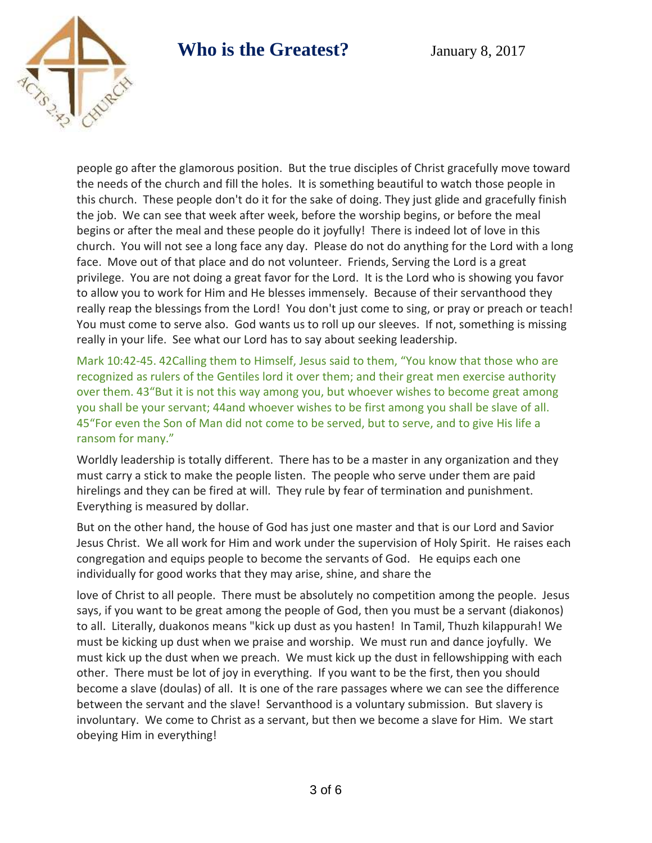

people go after the glamorous position. But the true disciples of Christ gracefully move toward the needs of the church and fill the holes. It is something beautiful to watch those people in this church. These people don't do it for the sake of doing. They just glide and gracefully finish the job. We can see that week after week, before the worship begins, or before the meal begins or after the meal and these people do it joyfully! There is indeed lot of love in this church. You will not see a long face any day. Please do not do anything for the Lord with a long face. Move out of that place and do not volunteer. Friends, Serving the Lord is a great privilege. You are not doing a great favor for the Lord. It is the Lord who is showing you favor to allow you to work for Him and He blesses immensely. Because of their servanthood they really reap the blessings from the Lord! You don't just come to sing, or pray or preach or teach! You must come to serve also. God wants us to roll up our sleeves. If not, something is missing really in your life. See what our Lord has to say about seeking leadership.

Mark 10:42-45. 42Calling them to Himself, Jesus said to them, "You know that those who are recognized as rulers of the Gentiles lord it over them; and their great men exercise authority over them. 43"But it is not this way among you, but whoever wishes to become great among you shall be your servant; 44and whoever wishes to be first among you shall be slave of all. 45"For even the Son of Man did not come to be served, but to serve, and to give His life a ransom for many."

Worldly leadership is totally different. There has to be a master in any organization and they must carry a stick to make the people listen. The people who serve under them are paid hirelings and they can be fired at will. They rule by fear of termination and punishment. Everything is measured by dollar.

But on the other hand, the house of God has just one master and that is our Lord and Savior Jesus Christ. We all work for Him and work under the supervision of Holy Spirit. He raises each congregation and equips people to become the servants of God. He equips each one individually for good works that they may arise, shine, and share the

love of Christ to all people. There must be absolutely no competition among the people. Jesus says, if you want to be great among the people of God, then you must be a servant (diakonos) to all. Literally, duakonos means "kick up dust as you hasten! In Tamil, Thuzh kilappurah! We must be kicking up dust when we praise and worship. We must run and dance joyfully. We must kick up the dust when we preach. We must kick up the dust in fellowshipping with each other. There must be lot of joy in everything. If you want to be the first, then you should become a slave (doulas) of all. It is one of the rare passages where we can see the difference between the servant and the slave! Servanthood is a voluntary submission. But slavery is involuntary. We come to Christ as a servant, but then we become a slave for Him. We start obeying Him in everything!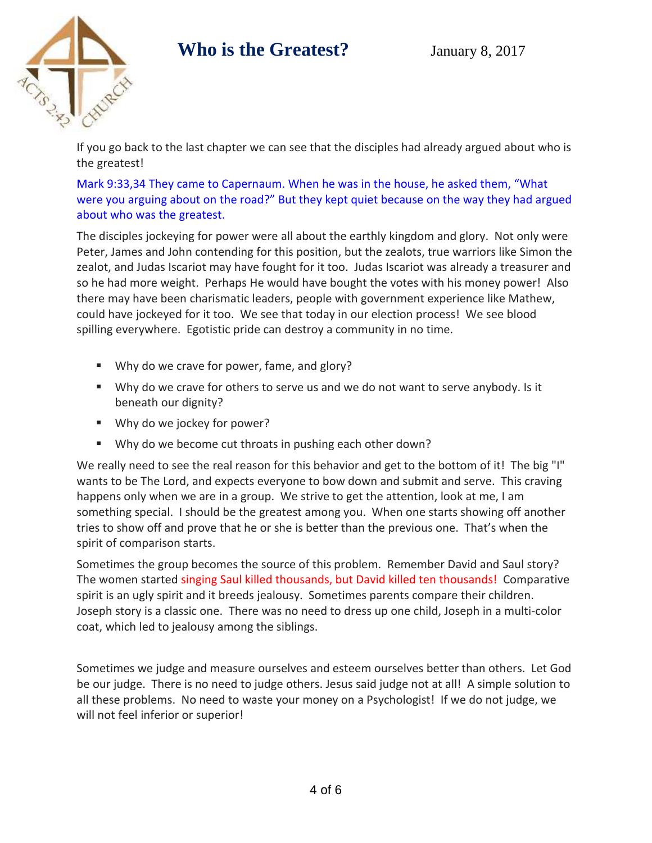

If you go back to the last chapter we can see that the disciples had already argued about who is the greatest!

Mark 9:33,34 They came to Capernaum. When he was in the house, he asked them, "What were you arguing about on the road?" But they kept quiet because on the way they had argued about who was the greatest.

The disciples jockeying for power were all about the earthly kingdom and glory. Not only were Peter, James and John contending for this position, but the zealots, true warriors like Simon the zealot, and Judas Iscariot may have fought for it too. Judas Iscariot was already a treasurer and so he had more weight. Perhaps He would have bought the votes with his money power! Also there may have been charismatic leaders, people with government experience like Mathew, could have jockeyed for it too. We see that today in our election process! We see blood spilling everywhere. Egotistic pride can destroy a community in no time.

- Why do we crave for power, fame, and glory?
- Why do we crave for others to serve us and we do not want to serve anybody. Is it beneath our dignity?
- Why do we jockey for power?
- Why do we become cut throats in pushing each other down?

We really need to see the real reason for this behavior and get to the bottom of it! The big "I" wants to be The Lord, and expects everyone to bow down and submit and serve. This craving happens only when we are in a group. We strive to get the attention, look at me, I am something special. I should be the greatest among you. When one starts showing off another tries to show off and prove that he or she is better than the previous one. That's when the spirit of comparison starts.

Sometimes the group becomes the source of this problem. Remember David and Saul story? The women started singing Saul killed thousands, but David killed ten thousands! Comparative spirit is an ugly spirit and it breeds jealousy. Sometimes parents compare their children. Joseph story is a classic one. There was no need to dress up one child, Joseph in a multi-color coat, which led to jealousy among the siblings.

Sometimes we judge and measure ourselves and esteem ourselves better than others. Let God be our judge. There is no need to judge others. Jesus said judge not at all! A simple solution to all these problems. No need to waste your money on a Psychologist! If we do not judge, we will not feel inferior or superior!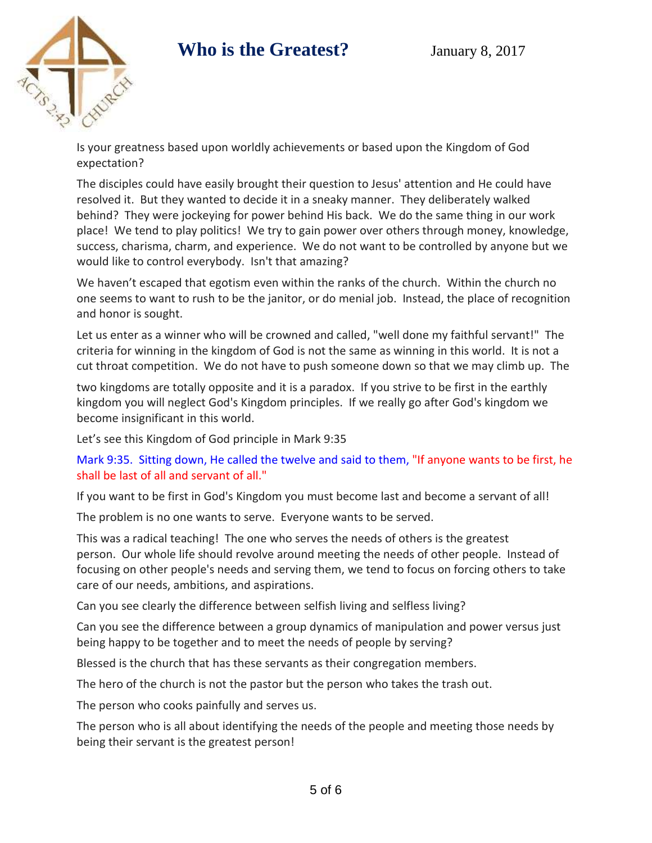

Is your greatness based upon worldly achievements or based upon the Kingdom of God expectation?

The disciples could have easily brought their question to Jesus' attention and He could have resolved it. But they wanted to decide it in a sneaky manner. They deliberately walked behind? They were jockeying for power behind His back. We do the same thing in our work place! We tend to play politics! We try to gain power over others through money, knowledge, success, charisma, charm, and experience. We do not want to be controlled by anyone but we would like to control everybody. Isn't that amazing?

We haven't escaped that egotism even within the ranks of the church. Within the church no one seems to want to rush to be the janitor, or do menial job. Instead, the place of recognition and honor is sought.

Let us enter as a winner who will be crowned and called, "well done my faithful servant!" The criteria for winning in the kingdom of God is not the same as winning in this world. It is not a cut throat competition. We do not have to push someone down so that we may climb up. The

two kingdoms are totally opposite and it is a paradox. If you strive to be first in the earthly kingdom you will neglect God's Kingdom principles. If we really go after God's kingdom we become insignificant in this world.

Let's see this Kingdom of God principle in Mark 9:35

Mark 9:35. Sitting down, He called the twelve and said to them, "If anyone wants to be first, he shall be last of all and servant of all."

If you want to be first in God's Kingdom you must become last and become a servant of all!

The problem is no one wants to serve. Everyone wants to be served.

This was a radical teaching! The one who serves the needs of others is the greatest person. Our whole life should revolve around meeting the needs of other people. Instead of focusing on other people's needs and serving them, we tend to focus on forcing others to take care of our needs, ambitions, and aspirations.

Can you see clearly the difference between selfish living and selfless living?

Can you see the difference between a group dynamics of manipulation and power versus just being happy to be together and to meet the needs of people by serving?

Blessed is the church that has these servants as their congregation members.

The hero of the church is not the pastor but the person who takes the trash out.

The person who cooks painfully and serves us.

The person who is all about identifying the needs of the people and meeting those needs by being their servant is the greatest person!